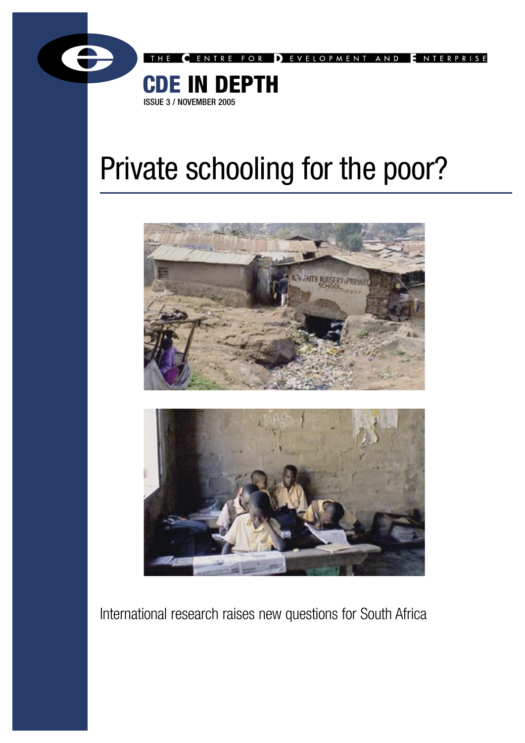

FOR DEVELOPMENT AND ENTERPRISE

# CDE IN DEPTH ISSUE 3 / NOVEMBER 2005

# Private schooling for the poor?





International research raises new questions for South Africa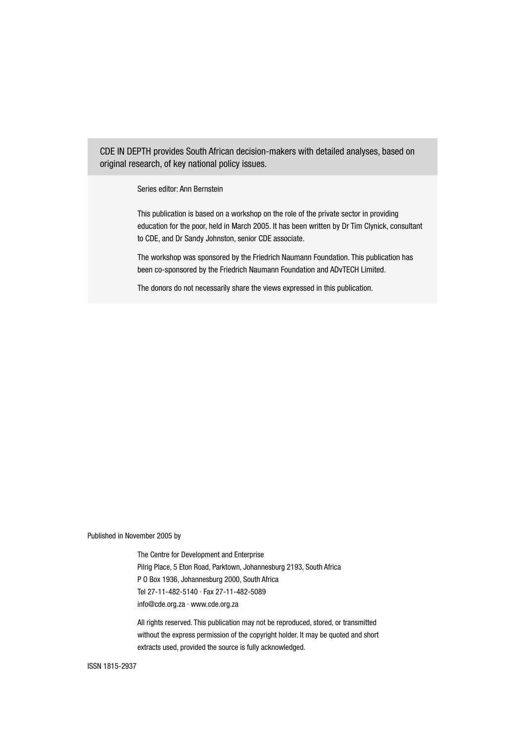CDE IN DEPTH provides South African decision-makers with detailed analyses, based on original research, of key national policy issues.

Series editor: Ann Bernstein

This publication is based on a workshop on the role of the private sector in providing education for the poor, held in March 2005. It has been written by Dr Tim Clynick, consultant to CDE, and Dr Sandy Johnston, senior CDE associate.

The workshop was sponsored by the Friedrich Naumann Foundation. This publication has been co-sponsored by the Friedrich Naumann Foundation and ADvTECH Limited.

The donors do not necessarily share the views expressed in this publication.

Published in November 2005 by

The Centre for Development and Enterprise Pilrig Place, 5 Eton Road, Parktown, Johannesburg 2193, South Africa P O Box 1936, Johannesburg 2000, South Africa Tel 27-11-482-5140 · Fax 27-11-482-5089 info@cde.org.za · www.cde.org.za

All rights reserved. This publication may not be reproduced, stored, or transmitted without the express permission of the copyright holder. It may be quoted and short extracts used, provided the source is fully acknowledged.

ISSN 1815-2937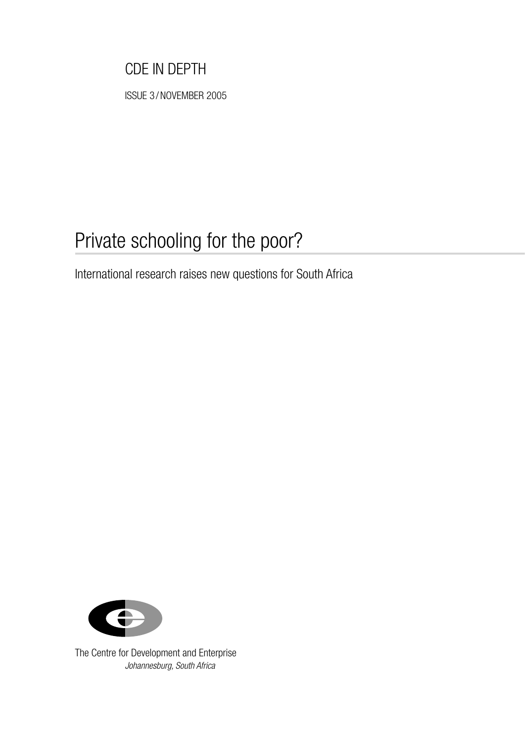# CDE IN DEPTH

ISSUE 3 / NOVEMBER 2005

# Private schooling for the poor?

International research raises new questions for South Africa



The Centre for Development and Enterprise Johannesburg, South Africa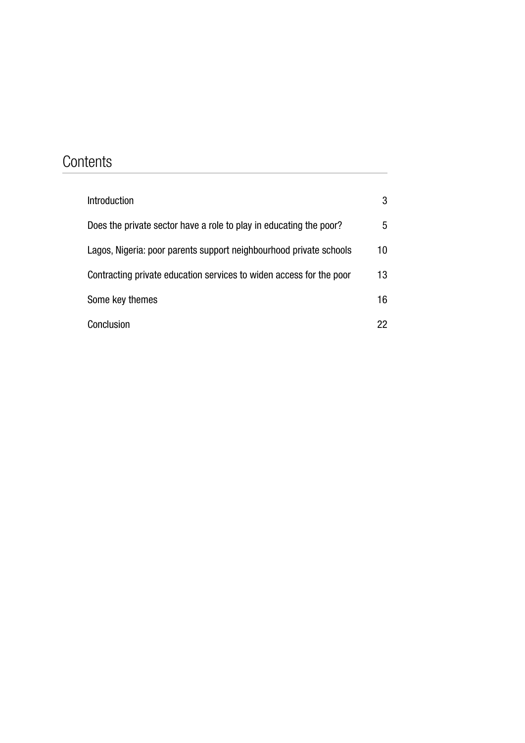# **Contents**

| <b>Introduction</b>                                                 | 3               |
|---------------------------------------------------------------------|-----------------|
| Does the private sector have a role to play in educating the poor?  | 5               |
| Lagos, Nigeria: poor parents support neighbourhood private schools  | 10 <sup>°</sup> |
| Contracting private education services to widen access for the poor | 13 <sup>°</sup> |
| Some key themes                                                     | 16              |
| Conclusion                                                          | 22              |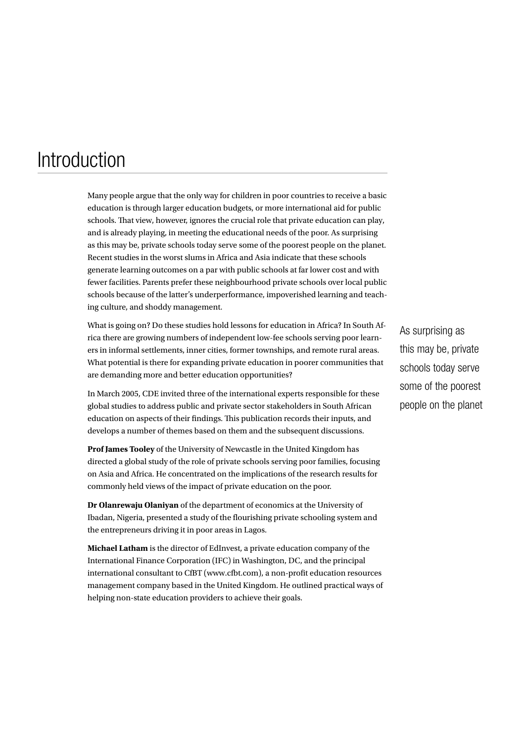# <span id="page-4-0"></span>**Introduction**

Many people argue that the only way for children in poor countries to receive a basic education is through larger education budgets, or more international aid for public schools. That view, however, ignores the crucial role that private education can play, and is already playing, in meeting the educational needs of the poor. As surprising as this may be, private schools today serve some of the poorest people on the planet. Recent studies in the worst slums in Africa and Asia indicate that these schools generate learning outcomes on a par with public schools at far lower cost and with fewer facilities. Parents prefer these neighbourhood private schools over local public schools because of the latter's underperformance, impoverished learning and teaching culture, and shoddy management.

What is going on? Do these studies hold lessons for education in Africa? In South Africa there are growing numbers of independent low-fee schools serving poor learners in informal settlements, inner cities, former townships, and remote rural areas. What potential is there for expanding private education in poorer communities that are demanding more and better education opportunities?

In March 2005, CDE invited three of the international experts responsible for these global studies to address public and private sector stakeholders in South African education on aspects of their findings. This publication records their inputs, and develops a number of themes based on them and the subsequent discussions.

**Prof James Tooley** of the University of Newcastle in the United Kingdom has directed a global study of the role of private schools serving poor families, focusing on Asia and Africa. He concentrated on the implications of the research results for commonly held views of the impact of private education on the poor.

**Dr Olanrewaju Olaniyan** of the department of economics at the University of Ibadan, Nigeria, presented a study of the flourishing private schooling system and the entrepreneurs driving it in poor areas in Lagos.

**Michael Latham** is the director of EdInvest, a private education company of the International Finance Corporation (IFC) in Washington, DC, and the principal international consultant to CfBT (www.cfbt.com), a non-profit education resources management company based in the United Kingdom. He outlined practical ways of helping non-state education providers to achieve their goals.

As surprising as this may be, private schools today serve some of the poorest people on the planet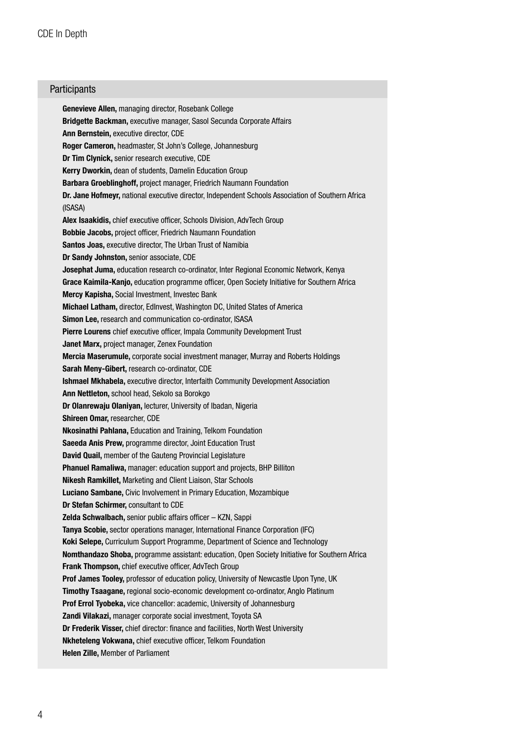### **Participants**

Genevieve Allen, managing director, Rosebank College Bridgette Backman, executive manager, Sasol Secunda Corporate Affairs Ann Bernstein, executive director, CDE Roger Cameron, headmaster, St John's College, Johannesburg Dr Tim Clynick, senior research executive, CDE Kerry Dworkin, dean of students, Damelin Education Group Barbara Groeblinghoff, project manager, Friedrich Naumann Foundation Dr. Jane Hofmeyr, national executive director, Independent Schools Association of Southern Africa (ISASA) Alex Isaakidis, chief executive officer, Schools Division, AdvTech Group Bobbie Jacobs, project officer, Friedrich Naumann Foundation Santos Joas, executive director, The Urban Trust of Namibia Dr Sandy Johnston, senior associate, CDE Josephat Juma, education research co-ordinator, Inter Regional Economic Network, Kenya Grace Kaimila-Kanjo, education programme officer, Open Society Initiative for Southern Africa Mercy Kapisha, Social Investment, Investec Bank Michael Latham, director, EdInvest, Washington DC, United States of America Simon Lee, research and communication co-ordinator, ISASA Pierre Lourens chief executive officer, Impala Community Development Trust Janet Marx, project manager, Zenex Foundation Mercia Maserumule, corporate social investment manager, Murray and Roberts Holdings Sarah Meny-Gibert, research co-ordinator, CDE Ishmael Mkhabela, executive director, Interfaith Community Development Association Ann Nettleton, school head, Sekolo sa Borokgo Dr Olanrewaju Olaniyan, lecturer, University of Ibadan, Nigeria Shireen Omar, researcher, CDE Nkosinathi Pahlana, Education and Training, Telkom Foundation Saeeda Anis Prew, programme director, Joint Education Trust David Quail, member of the Gauteng Provincial Legislature Phanuel Ramaliwa, manager: education support and projects, BHP Billiton Nikesh Ramkillet, Marketing and Client Liaison, Star Schools Luciano Sambane, Civic Involvement in Primary Education, Mozambique Dr Stefan Schirmer, consultant to CDE Zelda Schwalbach, senior public affairs officer – KZN, Sappi Tanya Scobie, sector operations manager, International Finance Corporation (IFC) Koki Selepe, Curriculum Support Programme, Department of Science and Technology Nomthandazo Shoba, programme assistant: education, Open Society Initiative for Southern Africa Frank Thompson, chief executive officer, AdvTech Group Prof James Tooley, professor of education policy, University of Newcastle Upon Tyne, UK Timothy Tsaagane, regional socio-economic development co-ordinator, Anglo Platinum Prof Errol Tyobeka, vice chancellor: academic, University of Johannesburg Zandi Vilakazi, manager corporate social investment, Toyota SA Dr Frederik Visser, chief director: finance and facilities, North West University Nkheteleng Vokwana, chief executive officer, Telkom Foundation Helen Zille, Member of Parliament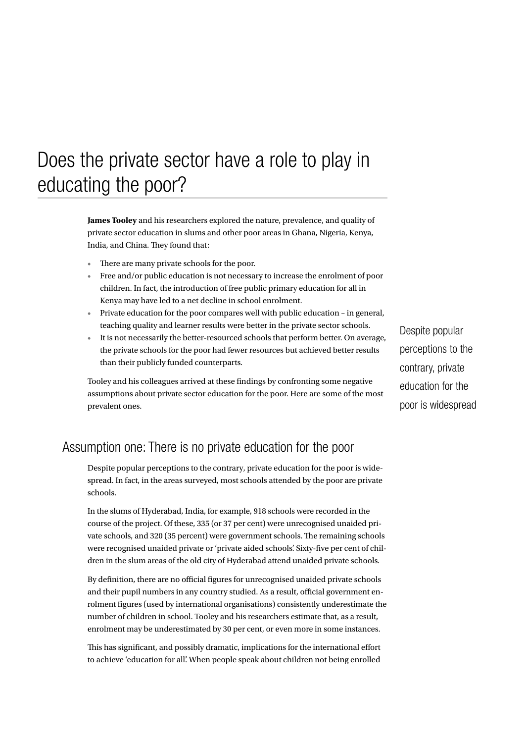# <span id="page-6-0"></span>Does the private sector have a role to play in educating the poor?

**James Tooley** and his researchers explored the nature, prevalence, and quality of private sector education in slums and other poor areas in Ghana, Nigeria, Kenya, India, and China. They found that:

- There are many private schools for the poor. •
- Free and/or public education is not necessary to increase the enrolment of poor children. In fact, the introduction of free public primary education for all in Kenya may have led to a net decline in school enrolment. •
- Private education for the poor compares well with public education in general, teaching quality and learner results were better in the private sector schools.
- It is not necessarily the better-resourced schools that perform better. On average,<br>It is not necessarily the better-resourced schools that perform better. On average, the private schools for the poor had fewer resources but achieved better results than their publicly funded counterparts.

Tooley and his colleagues arrived at these findings by confronting some negative assumptions about private sector education for the poor. Here are some of the most prevalent ones.

perceptions to the contrary, private education for the poor is widespread

## Assumption one: There is no private education for the poor

Despite popular perceptions to the contrary, private education for the poor is widespread. In fact, in the areas surveyed, most schools attended by the poor are private schools.

In the slums of Hyderabad, India, for example, 918 schools were recorded in the course of the project. Of these, 335 (or 37 per cent) were unrecognised unaided private schools, and 320 (35 percent) were government schools. The remaining schools were recognised unaided private or 'private aided schools'. Sixty-five per cent of children in the slum areas of the old city of Hyderabad attend unaided private schools.

By definition, there are no official figures for unrecognised unaided private schools and their pupil numbers in any country studied. As a result, official government enrolment figures (used by international organisations) consistently underestimate the number of children in school. Tooley and his researchers estimate that, as a result, enrolment may be underestimated by 30 per cent, or even more in some instances.

This has significant, and possibly dramatic, implications for the international effort to achieve 'education for all'. When people speak about children not being enrolled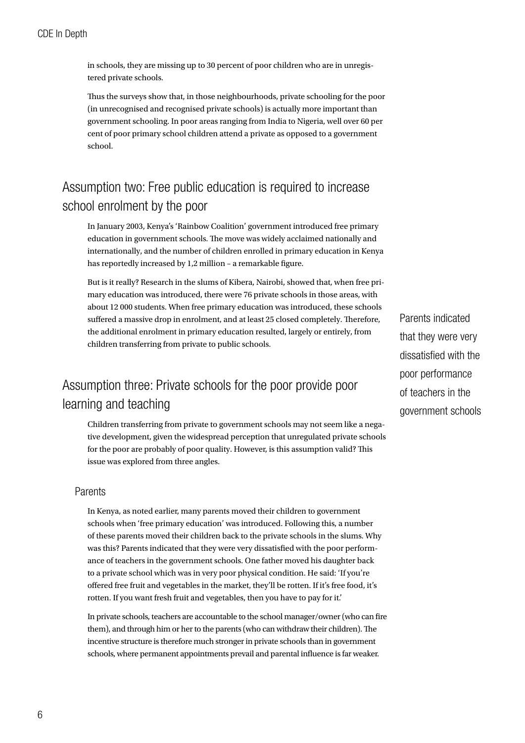in schools, they are missing up to 30 percent of poor children who are in unregistered private schools.

Thus the surveys show that, in those neighbourhoods, private schooling for the poor (in unrecognised and recognised private schools) is actually more important than government schooling. In poor areas ranging from India to Nigeria, well over 60 per cent of poor primary school children attend a private as opposed to a government school.

# Assumption two: Free public education is required to increase school enrolment by the poor

In January 2003, Kenya's 'Rainbow Coalition' government introduced free primary education in government schools. The move was widely acclaimed nationally and internationally, and the number of children enrolled in primary education in Kenya has reportedly increased by 1,2 million – a remarkable figure.

But is it really? Research in the slums of Kibera, Nairobi, showed that, when free primary education was introduced, there were 76 private schools in those areas, with about 12 000 students. When free primary education was introduced, these schools suffered a massive drop in enrolment, and at least 25 closed completely. Therefore, the additional enrolment in primary education resulted, largely or entirely, from children transferring from private to public schools.

# Assumption three: Private schools for the poor provide poor learning and teaching

Children transferring from private to government schools may not seem like a negative development, given the widespread perception that unregulated private schools for the poor are probably of poor quality. However, is this assumption valid? This issue was explored from three angles.

### Parents

In Kenya, as noted earlier, many parents moved their children to government schools when 'free primary education' was introduced. Following this, a number of these parents moved their children back to the private schools in the slums. Why was this? Parents indicated that they were very dissatisfied with the poor performance of teachers in the government schools. One father moved his daughter back to a private school which was in very poor physical condition. He said: 'If you're offered free fruit and vegetables in the market, they'll be rotten. If it's free food, it's rotten. If you want fresh fruit and vegetables, then you have to pay for it.'

In private schools, teachers are accountable to the school manager/owner (who can fire them), and through him or her to the parents (who can withdraw their children). The incentive structure is therefore much stronger in private schools than in government schools, where permanent appointments prevail and parental influence is far weaker.

Parents indicated that they were very dissatisfied with the poor performance of teachers in the government schools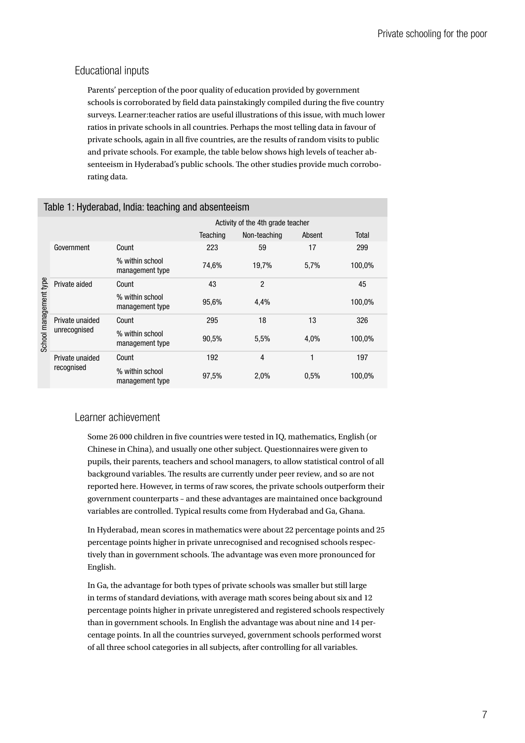## Educational inputs

Parents' perception of the poor quality of education provided by government schools is corroborated by field data painstakingly compiled during the five country surveys. Learner:teacher ratios are useful illustrations of this issue, with much lower ratios in private schools in all countries. Perhaps the most telling data in favour of private schools, again in all five countries, are the results of random visits to public and private schools. For example, the table below shows high levels of teacher absenteeism in Hyderabad's public schools. The other studies provide much corroborating data.

| Table 1: Hyderabad, India: teaching and absenteeism |                                 |                                    |                                   |                |        |        |  |
|-----------------------------------------------------|---------------------------------|------------------------------------|-----------------------------------|----------------|--------|--------|--|
|                                                     |                                 |                                    | Activity of the 4th grade teacher |                |        |        |  |
|                                                     |                                 |                                    | Teaching                          | Non-teaching   | Absent | Total  |  |
| School management type                              | Government                      | Count                              | 223                               | 59             | 17     | 299    |  |
|                                                     |                                 | % within school<br>management type | 74,6%                             | 19,7%          | 5,7%   | 100,0% |  |
|                                                     | Private aided                   | Count                              | 43                                | $\overline{2}$ |        | 45     |  |
|                                                     |                                 | % within school<br>management type | 95,6%                             | 4,4%           |        | 100,0% |  |
|                                                     | Private unaided<br>unrecognised | Count                              | 295                               | 18             | 13     | 326    |  |
|                                                     |                                 | % within school<br>management type | 90,5%                             | 5.5%           | 4.0%   | 100,0% |  |
|                                                     | Private unaided<br>recognised   | Count                              | 192                               | $\overline{4}$ | 1      | 197    |  |
|                                                     |                                 | % within school<br>management type | 97,5%                             | 2,0%           | 0.5%   | 100,0% |  |

## Learner achievement

Some 26 000 children in five countries were tested in IQ, mathematics, English (or Chinese in China), and usually one other subject. Questionnaires were given to pupils, their parents, teachers and school managers, to allow statistical control of all background variables. The results are currently under peer review, and so are not reported here. However, in terms of raw scores, the private schools outperform their government counterparts – and these advantages are maintained once background variables are controlled. Typical results come from Hyderabad and Ga, Ghana.

In Hyderabad, mean scores in mathematics were about 22 percentage points and 25 percentage points higher in private unrecognised and recognised schools respectively than in government schools. The advantage was even more pronounced for English.

In Ga, the advantage for both types of private schools was smaller but still large in terms of standard deviations, with average math scores being about six and 12 percentage points higher in private unregistered and registered schools respectively than in government schools. In English the advantage was about nine and 14 percentage points. In all the countries surveyed, government schools performed worst of all three school categories in all subjects, after controlling for all variables.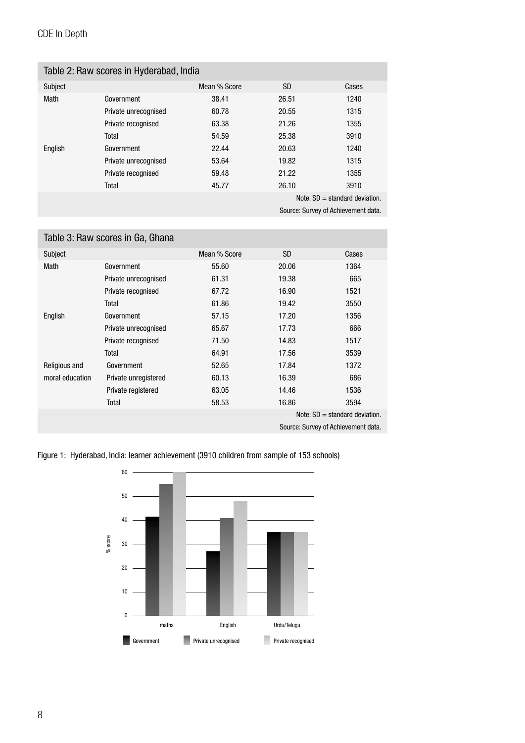## CDE In Depth

| Table 2: Raw scores in Hyderabad, India |                      |              |       |       |  |
|-----------------------------------------|----------------------|--------------|-------|-------|--|
| Subject                                 |                      | Mean % Score | SD.   | Cases |  |
| Math                                    | Government           | 38.41        | 26.51 | 1240  |  |
|                                         | Private unrecognised | 60.78        | 20.55 | 1315  |  |
|                                         | Private recognised   | 63.38        | 21.26 | 1355  |  |
|                                         | Total                | 54.59        | 25.38 | 3910  |  |
| English                                 | Government           | 22.44        | 20.63 | 1240  |  |
|                                         | Private unrecognised | 53.64        | 19.82 | 1315  |  |
|                                         | Private recognised   | 59.48        | 21.22 | 1355  |  |
|                                         | Total                | 45.77        | 26.10 | 3910  |  |
| Note, $SD = standard deviation$ .       |                      |              |       |       |  |

Source: Survey of Achievement data.

| Table 3: Raw scores in Ga, Ghana    |                      |              |           |       |  |
|-------------------------------------|----------------------|--------------|-----------|-------|--|
| Subject                             |                      | Mean % Score | <b>SD</b> | Cases |  |
| Math                                | Government           | 55.60        | 20.06     | 1364  |  |
|                                     | Private unrecognised | 61.31        | 19.38     | 665   |  |
|                                     | Private recognised   | 67.72        | 16.90     | 1521  |  |
|                                     | Total                | 61.86        | 19.42     | 3550  |  |
| English                             | Government           | 57.15        | 17.20     | 1356  |  |
|                                     | Private unrecognised | 65.67        | 17.73     | 666   |  |
|                                     | Private recognised   | 71.50        | 14.83     | 1517  |  |
|                                     | Total                | 64.91        | 17.56     | 3539  |  |
| Religious and                       | Government           | 52.65        | 17.84     | 1372  |  |
| moral education                     | Private unregistered | 60.13        | 16.39     | 686   |  |
|                                     | Private registered   | 63.05        | 14.46     | 1536  |  |
|                                     | Total                | 58.53        | 16.86     | 3594  |  |
| Note: $SD = standard deviation$ .   |                      |              |           |       |  |
| Source: Survey of Achievement data. |                      |              |           |       |  |

Figure 1: Hyderabad, India: learner achievement (3910 children from sample of 153 schools)

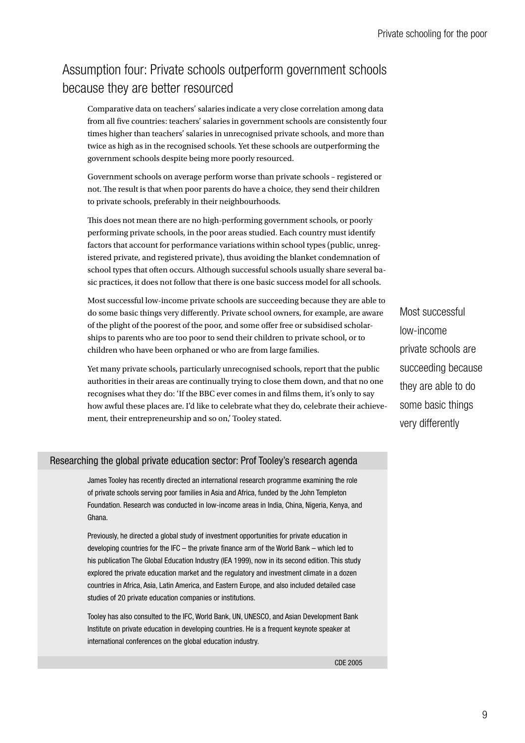# Assumption four: Private schools outperform government schools because they are better resourced

Comparative data on teachers' salaries indicate a very close correlation among data from all five countries: teachers' salaries in government schools are consistently four times higher than teachers' salaries in unrecognised private schools, and more than twice as high as in the recognised schools. Yet these schools are outperforming the government schools despite being more poorly resourced.

Government schools on average perform worse than private schools – registered or not. The result is that when poor parents do have a choice, they send their children to private schools, preferably in their neighbourhoods.

This does not mean there are no high-performing government schools, or poorly performing private schools, in the poor areas studied. Each country must identify factors that account for performance variations within school types (public, unregistered private, and registered private), thus avoiding the blanket condemnation of school types that often occurs. Although successful schools usually share several basic practices, it does not follow that there is one basic success model for all schools.

Most successful low-income private schools are succeeding because they are able to do some basic things very differently. Private school owners, for example, are aware of the plight of the poorest of the poor, and some offer free or subsidised scholarships to parents who are too poor to send their children to private school, or to children who have been orphaned or who are from large families.

Yet many private schools, particularly unrecognised schools, report that the public authorities in their areas are continually trying to close them down, and that no one recognises what they do: 'If the BBC ever comes in and films them, it's only to say how awful these places are. I'd like to celebrate what they do, celebrate their achievement, their entrepreneurship and so on,' Tooley stated.

Most successful low-income private schools are succeeding because they are able to do some basic things very differently

### Researching the global private education sector: Prof Tooley's research agenda

James Tooley has recently directed an international research programme examining the role of private schools serving poor families in Asia and Africa, funded by the John Templeton Foundation. Research was conducted in low-income areas in India, China, Nigeria, Kenya, and Ghana.

Previously, he directed a global study of investment opportunities for private education in developing countries for the IFC – the private finance arm of the World Bank – which led to his publication The Global Education Industry (IEA 1999), now in its second edition. This study explored the private education market and the regulatory and investment climate in a dozen countries in Africa, Asia, Latin America, and Eastern Europe, and also included detailed case studies of 20 private education companies or institutions.

Tooley has also consulted to the IFC, World Bank, UN, UNESCO, and Asian Development Bank Institute on private education in developing countries. He is a frequent keynote speaker at international conferences on the global education industry.

CDE 2005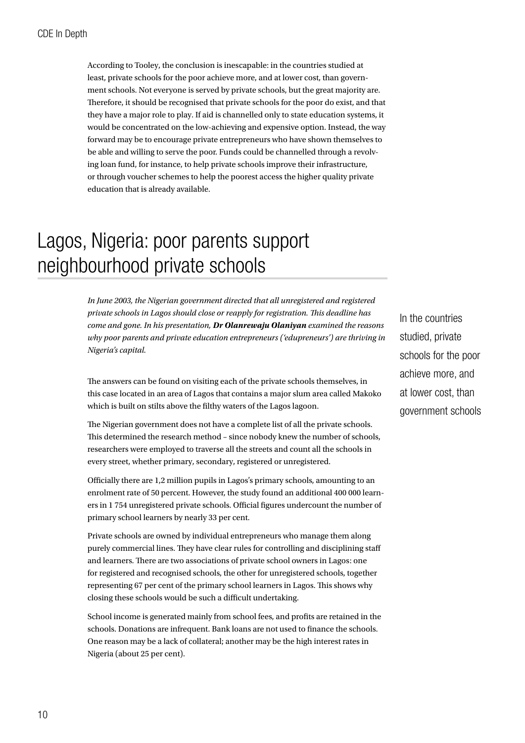<span id="page-11-0"></span>According to Tooley, the conclusion is inescapable: in the countries studied at least, private schools for the poor achieve more, and at lower cost, than government schools. Not everyone is served by private schools, but the great majority are. Therefore, it should be recognised that private schools for the poor do exist, and that they have a major role to play. If aid is channelled only to state education systems, it would be concentrated on the low-achieving and expensive option. Instead, the way forward may be to encourage private entrepreneurs who have shown themselves to be able and willing to serve the poor. Funds could be channelled through a revolving loan fund, for instance, to help private schools improve their infrastructure, or through voucher schemes to help the poorest access the higher quality private education that is already available.

# Lagos, Nigeria: poor parents support neighbourhood private schools

*In June 2003, the Nigerian government directed that all unregistered and registered private schools in Lagos should close or reapply for registration. This deadline has come and gone. In his presentation, Dr Olanrewaju Olaniyan examined the reasons why poor parents and private education entrepreneurs ('edupreneurs') are thriving in Nigeria's capital.*

The answers can be found on visiting each of the private schools themselves, in this case located in an area of Lagos that contains a major slum area called Makoko which is built on stilts above the filthy waters of the Lagos lagoon.

The Nigerian government does not have a complete list of all the private schools. This determined the research method – since nobody knew the number of schools, researchers were employed to traverse all the streets and count all the schools in every street, whether primary, secondary, registered or unregistered.

Officially there are 1,2 million pupils in Lagos's primary schools, amounting to an enrolment rate of 50 percent. However, the study found an additional 400 000 learners in 1 754 unregistered private schools. Official figures undercount the number of primary school learners by nearly 33 per cent.

Private schools are owned by individual entrepreneurs who manage them along purely commercial lines. They have clear rules for controlling and disciplining staff and learners. There are two associations of private school owners in Lagos: one for registered and recognised schools, the other for unregistered schools, together representing 67 per cent of the primary school learners in Lagos. This shows why closing these schools would be such a difficult undertaking.

School income is generated mainly from school fees, and profits are retained in the schools. Donations are infrequent. Bank loans are not used to finance the schools. One reason may be a lack of collateral; another may be the high interest rates in Nigeria (about 25 per cent).

In the countries studied, private schools for the poor achieve more, and at lower cost, than government schools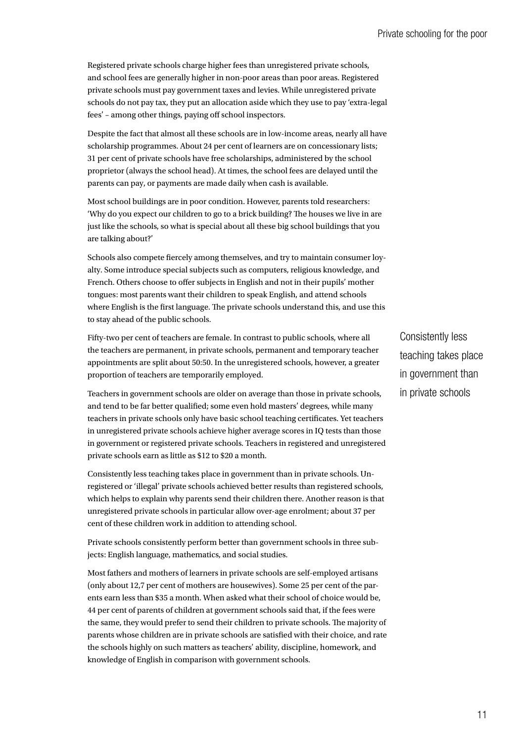Registered private schools charge higher fees than unregistered private schools, and school fees are generally higher in non-poor areas than poor areas. Registered private schools must pay government taxes and levies. While unregistered private schools do not pay tax, they put an allocation aside which they use to pay 'extra-legal fees' – among other things, paying off school inspectors.

Despite the fact that almost all these schools are in low-income areas, nearly all have scholarship programmes. About 24 per cent of learners are on concessionary lists; 31 per cent of private schools have free scholarships, administered by the school proprietor (always the school head). At times, the school fees are delayed until the parents can pay, or payments are made daily when cash is available.

Most school buildings are in poor condition. However, parents told researchers: 'Why do you expect our children to go to a brick building? The houses we live in are just like the schools, so what is special about all these big school buildings that you are talking about?'

Schools also compete fiercely among themselves, and try to maintain consumer loyalty. Some introduce special subjects such as computers, religious knowledge, and French. Others choose to offer subjects in English and not in their pupils' mother tongues: most parents want their children to speak English, and attend schools where English is the first language. The private schools understand this, and use this to stay ahead of the public schools.

Fifty-two per cent of teachers are female. In contrast to public schools, where all the teachers are permanent, in private schools, permanent and temporary teacher appointments are split about 50:50. In the unregistered schools, however, a greater proportion of teachers are temporarily employed.

Teachers in government schools are older on average than those in private schools, and tend to be far better qualified; some even hold masters' degrees, while many teachers in private schools only have basic school teaching certificates. Yet teachers in unregistered private schools achieve higher average scores in IQ tests than those in government or registered private schools. Teachers in registered and unregistered private schools earn as little as \$12 to \$20 a month.

Consistently less teaching takes place in government than in private schools. Unregistered or 'illegal' private schools achieved better results than registered schools, which helps to explain why parents send their children there. Another reason is that unregistered private schools in particular allow over-age enrolment; about 37 per cent of these children work in addition to attending school.

Private schools consistently perform better than government schools in three subjects: English language, mathematics, and social studies.

Most fathers and mothers of learners in private schools are self-employed artisans (only about 12,7 per cent of mothers are housewives). Some 25 per cent of the parents earn less than \$35 a month. When asked what their school of choice would be, 44 per cent of parents of children at government schools said that, if the fees were the same, they would prefer to send their children to private schools. The majority of parents whose children are in private schools are satisfied with their choice, and rate the schools highly on such matters as teachers' ability, discipline, homework, and knowledge of English in comparison with government schools.

Consistently less teaching takes place in government than in private schools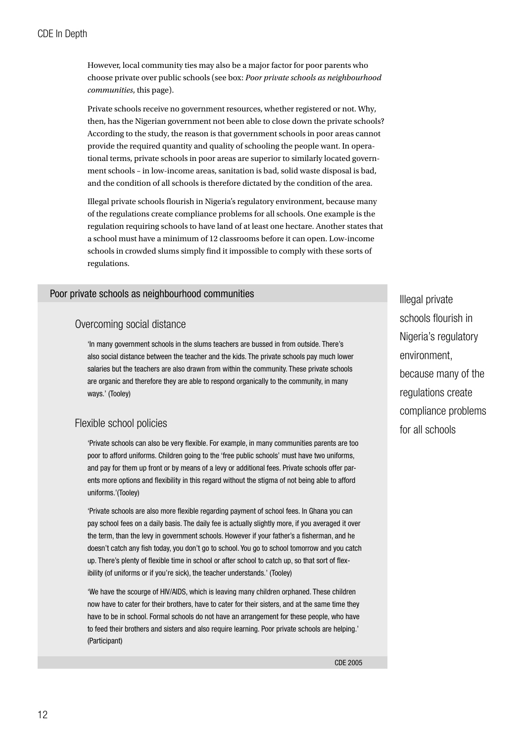However, local community ties may also be a major factor for poor parents who choose private over public schools (see box: *Poor private schools as neighbourhood communities*, this page).

Private schools receive no government resources, whether registered or not. Why, then, has the Nigerian government not been able to close down the private schools? According to the study, the reason is that government schools in poor areas cannot provide the required quantity and quality of schooling the people want. In operational terms, private schools in poor areas are superior to similarly located government schools – in low-income areas, sanitation is bad, solid waste disposal is bad, and the condition of all schools is therefore dictated by the condition of the area.

Illegal private schools flourish in Nigeria's regulatory environment, because many of the regulations create compliance problems for all schools. One example is the regulation requiring schools to have land of at least one hectare. Another states that a school must have a minimum of 12 classrooms before it can open. Low-income schools in crowded slums simply find it impossible to comply with these sorts of regulations.

Poor private schools as neighbourhood communities

### Overcoming social distance

'In many government schools in the slums teachers are bussed in from outside. There's also social distance between the teacher and the kids. The private schools pay much lower salaries but the teachers are also drawn from within the community. These private schools are organic and therefore they are able to respond organically to the community, in many ways.' (Tooley)

## Flexible school policies

'Private schools can also be very flexible. For example, in many communities parents are too poor to afford uniforms. Children going to the 'free public schools' must have two uniforms, and pay for them up front or by means of a levy or additional fees. Private schools offer parents more options and flexibility in this regard without the stigma of not being able to afford uniforms.'(Tooley)

'Private schools are also more flexible regarding payment of school fees. In Ghana you can pay school fees on a daily basis. The daily fee is actually slightly more, if you averaged it over the term, than the levy in government schools. However if your father's a fisherman, and he doesn't catch any fish today, you don't go to school. You go to school tomorrow and you catch up. There's plenty of flexible time in school or after school to catch up, so that sort of flexibility (of uniforms or if you're sick), the teacher understands.' (Tooley)

'We have the scourge of HIV/AIDS, which is leaving many children orphaned. These children now have to cater for their brothers, have to cater for their sisters, and at the same time they have to be in school. Formal schools do not have an arrangement for these people, who have to feed their brothers and sisters and also require learning. Poor private schools are helping.' (Participant)

Illegal private schools flourish in Nigeria's regulatory environment, because many of the regulations create compliance problems for all schools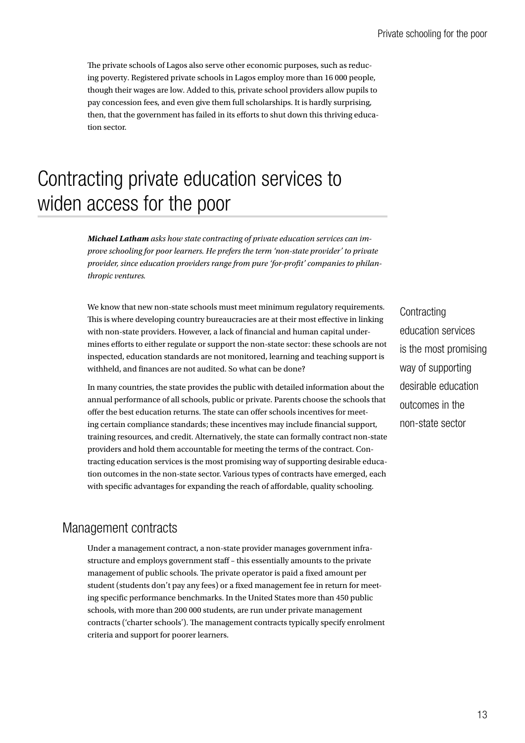<span id="page-14-0"></span>The private schools of Lagos also serve other economic purposes, such as reducing poverty. Registered private schools in Lagos employ more than 16 000 people, though their wages are low. Added to this, private school providers allow pupils to pay concession fees, and even give them full scholarships. It is hardly surprising, then, that the government has failed in its efforts to shut down this thriving education sector.

# Contracting private education services to widen access for the poor

*Michael Latham asks how state contracting of private education services can improve schooling for poor learners. He prefers the term 'non-state provider' to private provider, since education providers range from pure 'for-profit' companies to philanthropic ventures.*

We know that new non-state schools must meet minimum regulatory requirements. This is where developing country bureaucracies are at their most effective in linking with non-state providers. However, a lack of financial and human capital undermines efforts to either regulate or support the non-state sector: these schools are not inspected, education standards are not monitored, learning and teaching support is withheld, and finances are not audited. So what can be done?

In many countries, the state provides the public with detailed information about the annual performance of all schools, public or private. Parents choose the schools that offer the best education returns. The state can offer schools incentives for meeting certain compliance standards; these incentives may include financial support, training resources, and credit. Alternatively, the state can formally contract non-state providers and hold them accountable for meeting the terms of the contract. Contracting education services is the most promising way of supporting desirable education outcomes in the non-state sector. Various types of contracts have emerged, each with specific advantages for expanding the reach of affordable, quality schooling.

## Management contracts

Under a management contract, a non-state provider manages government infrastructure and employs government staff – this essentially amounts to the private management of public schools. The private operator is paid a fixed amount per student (students don't pay any fees) or a fixed management fee in return for meeting specific performance benchmarks. In the United States more than 450 public schools, with more than 200 000 students, are run under private management contracts ('charter schools'). The management contracts typically specify enrolment criteria and support for poorer learners.

**Contracting** education services is the most promising way of supporting desirable education outcomes in the non-state sector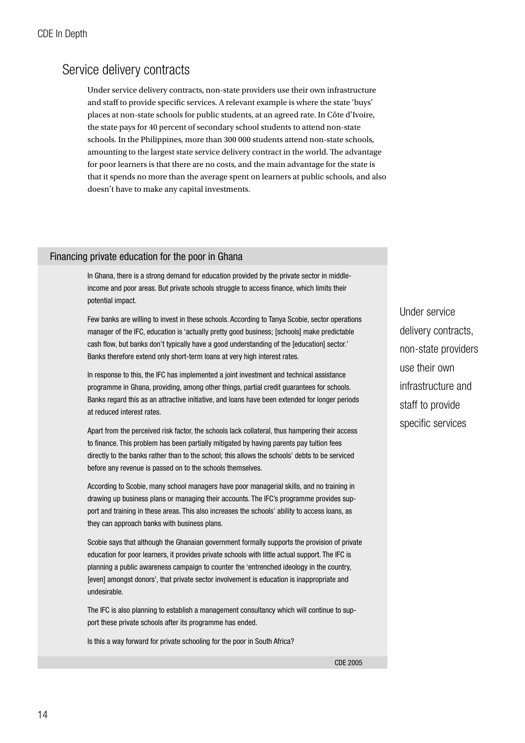## Service delivery contracts

Under service delivery contracts, non-state providers use their own infrastructure and staff to provide specific services. A relevant example is where the state 'buys' places at non-state schools for public students, at an agreed rate. In Côte d'Ivoire, the state pays for 40 percent of secondary school students to attend non-state schools. In the Philippines, more than 300 000 students attend non-state schools, amounting to the largest state service delivery contract in the world. The advantage for poor learners is that there are no costs, and the main advantage for the state is that it spends no more than the average spent on learners at public schools, and also doesn't have to make any capital investments.

### Financing private education for the poor in Ghana

In Ghana, there is a strong demand for education provided by the private sector in middleincome and poor areas. But private schools struggle to access finance, which limits their potential impact.

Few banks are willing to invest in these schools. According to Tanya Scobie, sector operations manager of the IFC, education is 'actually pretty good business; [schools] make predictable cash flow, but banks don't typically have a good understanding of the [education] sector.' Banks therefore extend only short-term loans at very high interest rates.

In response to this, the IFC has implemented a joint investment and technical assistance programme in Ghana, providing, among other things, partial credit guarantees for schools. Banks regard this as an attractive initiative, and loans have been extended for longer periods at reduced interest rates.

Apart from the perceived risk factor, the schools lack collateral, thus hampering their access to finance. This problem has been partially mitigated by having parents pay tuition fees directly to the banks rather than to the school; this allows the schools' debts to be serviced before any revenue is passed on to the schools themselves.

According to Scobie, many school managers have poor managerial skills, and no training in drawing up business plans or managing their accounts. The IFC's programme provides support and training in these areas. This also increases the schools' ability to access loans, as they can approach banks with business plans.

Scobie says that although the Ghanaian government formally supports the provision of private education for poor learners, it provides private schools with little actual support. The IFC is planning a public awareness campaign to counter the 'entrenched ideology in the country, [even] amongst donors', that private sector involvement is education is inappropriate and undesirable.

The IFC is also planning to establish a management consultancy which will continue to support these private schools after its programme has ended.

Is this a way forward for private schooling for the poor in South Africa?

Under service delivery contracts, non-state providers use their own infrastructure and staff to provide specific services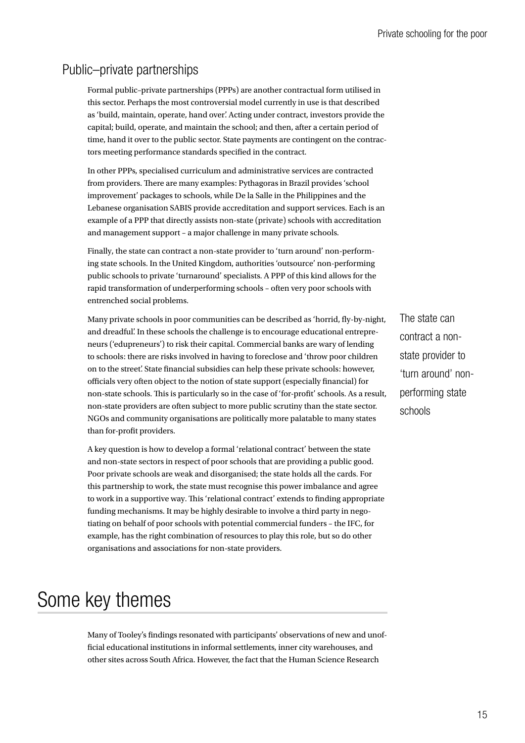Private schooling for the poor

# Public–private partnerships

Formal public–private partnerships (PPPs) are another contractual form utilised in this sector. Perhaps the most controversial model currently in use is that described as 'build, maintain, operate, hand over'. Acting under contract, investors provide the capital; build, operate, and maintain the school; and then, after a certain period of time, hand it over to the public sector. State payments are contingent on the contractors meeting performance standards specified in the contract.

In other PPPs, specialised curriculum and administrative services are contracted from providers. There are many examples: Pythagoras in Brazil provides 'school improvement' packages to schools, while De la Salle in the Philippines and the Lebanese organisation SABIS provide accreditation and support services. Each is an example of a PPP that directly assists non-state (private) schools with accreditation and management support – a major challenge in many private schools.

Finally, the state can contract a non-state provider to 'turn around' non-performing state schools. In the United Kingdom, authorities 'outsource' non-performing public schools to private 'turnaround' specialists. A PPP of this kind allows for the rapid transformation of underperforming schools – often very poor schools with entrenched social problems.

Many private schools in poor communities can be described as 'horrid, fly-by-night, and dreadful'. In these schools the challenge is to encourage educational entrepreneurs ('edupreneurs') to risk their capital. Commercial banks are wary of lending to schools: there are risks involved in having to foreclose and 'throw poor children on to the street'. State financial subsidies can help these private schools: however, officials very often object to the notion of state support (especially financial) for non-state schools. This is particularly so in the case of 'for-profit' schools. As a result, non-state providers are often subject to more public scrutiny than the state sector. NGOs and community organisations are politically more palatable to many states than for-profit providers.

A key question is how to develop a formal 'relational contract' between the state and non-state sectors in respect of poor schools that are providing a public good. Poor private schools are weak and disorganised; the state holds all the cards. For this partnership to work, the state must recognise this power imbalance and agree to work in a supportive way. This 'relational contract' extends to finding appropriate funding mechanisms. It may be highly desirable to involve a third party in negotiating on behalf of poor schools with potential commercial funders – the IFC, for example, has the right combination of resources to play this role, but so do other organisations and associations for non-state providers.

# Some key themes

Many of Tooley's findings resonated with participants' observations of new and unofficial educational institutions in informal settlements, inner city warehouses, and other sites across South Africa. However, the fact that the Human Science Research

The state can contract a nonstate provider to 'turn around' nonperforming state schools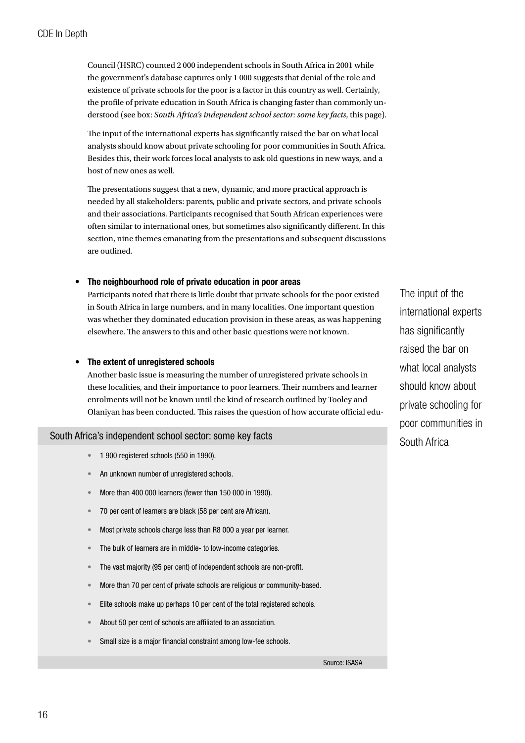<span id="page-17-0"></span>Council (HSRC) counted 2 000 independent schools in South Africa in 2001 while the government's database captures only 1 000 suggests that denial of the role and existence of private schools for the poor is a factor in this country as well. Certainly, the profile of private education in South Africa is changing faster than commonly understood (see box: *South Africa's independent school sector: some key facts*, this page).

The input of the international experts has significantly raised the bar on what local analysts should know about private schooling for poor communities in South Africa. Besides this, their work forces local analysts to ask old questions in new ways, and a host of new ones as well.

The presentations suggest that a new, dynamic, and more practical approach is needed by all stakeholders: parents, public and private sectors, and private schools and their associations. Participants recognised that South African experiences were often similar to international ones, but sometimes also significantly different. In this section, nine themes emanating from the presentations and subsequent discussions are outlined.

#### The neighbourhood role of private education in poor areas •

Participants noted that there is little doubt that private schools for the poor existed in South Africa in large numbers, and in many localities. One important question was whether they dominated education provision in these areas, as was happening elsewhere. The answers to this and other basic questions were not known.

#### The extent of unregistered schools •

Another basic issue is measuring the number of unregistered private schools in these localities, and their importance to poor learners. Their numbers and learner enrolments will not be known until the kind of research outlined by Tooley and Olaniyan has been conducted. This raises the question of how accurate official edu-

### South Africa's independent school sector: some key facts

- 1 900 registered schools (550 in 1990). •
- An unknown number of unregistered schools. •
- More than 400 000 learners (fewer than 150 000 in 1990). •
- 70 per cent of learners are black (58 per cent are African). •
- Most private schools charge less than R8 000 a year per learner. •
- The bulk of learners are in middle- to low-income categories. •
- The vast majority (95 per cent) of independent schools are non-profit. •
- More than 70 per cent of private schools are religious or community-based. •
- Elite schools make up perhaps 10 per cent of the total registered schools. •
- About 50 per cent of schools are affiliated to an association. •
- Small size is a major financial constraint among low-fee schools. •

The input of the international experts has significantly raised the bar on what local analysts should know about private schooling for poor communities in South Africa

Source: ISASA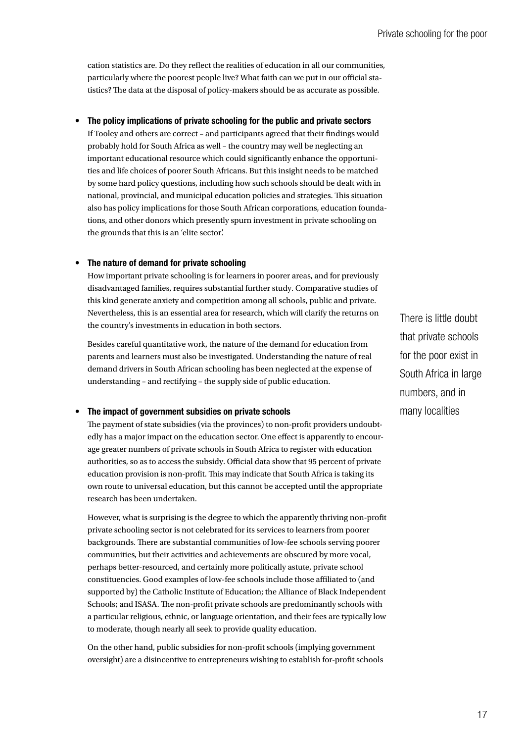cation statistics are. Do they reflect the realities of education in all our communities, particularly where the poorest people live? What faith can we put in our official statistics? The data at the disposal of policy-makers should be as accurate as possible.

#### The policy implications of private schooling for the public and private sectors •

If Tooley and others are correct – and participants agreed that their findings would probably hold for South Africa as well – the country may well be neglecting an important educational resource which could significantly enhance the opportunities and life choices of poorer South Africans. But this insight needs to be matched by some hard policy questions, including how such schools should be dealt with in national, provincial, and municipal education policies and strategies. This situation also has policy implications for those South African corporations, education foundations, and other donors which presently spurn investment in private schooling on the grounds that this is an 'elite sector'.

#### The nature of demand for private schooling •

How important private schooling is for learners in poorer areas, and for previously disadvantaged families, requires substantial further study. Comparative studies of this kind generate anxiety and competition among all schools, public and private. Nevertheless, this is an essential area for research, which will clarify the returns on the country's investments in education in both sectors.

Besides careful quantitative work, the nature of the demand for education from parents and learners must also be investigated. Understanding the nature of real demand drivers in South African schooling has been neglected at the expense of understanding – and rectifying – the supply side of public education.

#### The impact of government subsidies on private schools •

The payment of state subsidies (via the provinces) to non-profit providers undoubtedly has a major impact on the education sector. One effect is apparently to encourage greater numbers of private schools in South Africa to register with education authorities, so as to access the subsidy. Official data show that 95 percent of private education provision is non-profit. This may indicate that South Africa is taking its own route to universal education, but this cannot be accepted until the appropriate research has been undertaken.

However, what is surprising is the degree to which the apparently thriving non-profit private schooling sector is not celebrated for its services to learners from poorer backgrounds. There are substantial communities of low-fee schools serving poorer communities, but their activities and achievements are obscured by more vocal, perhaps better-resourced, and certainly more politically astute, private school constituencies. Good examples of low-fee schools include those affiliated to (and supported by) the Catholic Institute of Education; the Alliance of Black Independent Schools; and ISASA. The non-profit private schools are predominantly schools with a particular religious, ethnic, or language orientation, and their fees are typically low to moderate, though nearly all seek to provide quality education.

On the other hand, public subsidies for non-profit schools (implying government oversight) are a disincentive to entrepreneurs wishing to establish for-profit schools

There is little doubt that private schools for the poor exist in South Africa in large numbers, and in many localities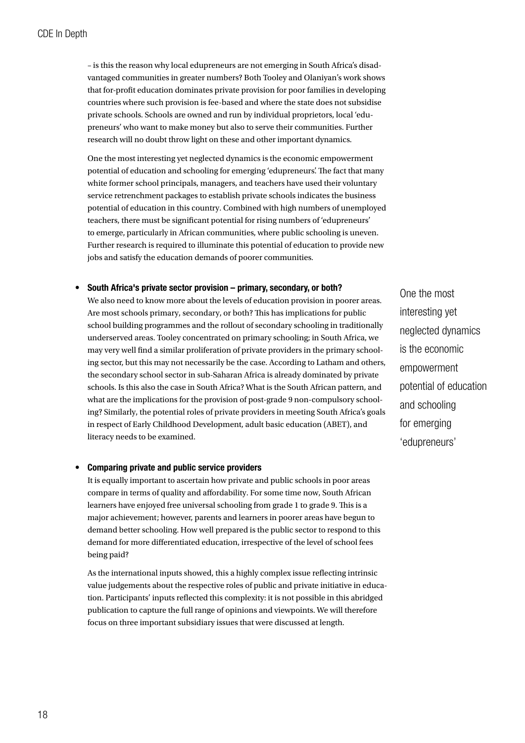– is this the reason why local edupreneurs are not emerging in South Africa's disadvantaged communities in greater numbers? Both Tooley and Olaniyan's work shows that for-profit education dominates private provision for poor families in developing countries where such provision is fee-based and where the state does not subsidise private schools. Schools are owned and run by individual proprietors, local 'edupreneurs' who want to make money but also to serve their communities. Further research will no doubt throw light on these and other important dynamics.

One the most interesting yet neglected dynamics is the economic empowerment potential of education and schooling for emerging 'edupreneurs'. The fact that many white former school principals, managers, and teachers have used their voluntary service retrenchment packages to establish private schools indicates the business potential of education in this country. Combined with high numbers of unemployed teachers, there must be significant potential for rising numbers of 'edupreneurs' to emerge, particularly in African communities, where public schooling is uneven. Further research is required to illuminate this potential of education to provide new jobs and satisfy the education demands of poorer communities.

#### South Africa's private sector provision – primary, secondary, or both? •

We also need to know more about the levels of education provision in poorer areas. Are most schools primary, secondary, or both? This has implications for public school building programmes and the rollout of secondary schooling in traditionally underserved areas. Tooley concentrated on primary schooling; in South Africa, we may very well find a similar proliferation of private providers in the primary schooling sector, but this may not necessarily be the case. According to Latham and others, the secondary school sector in sub-Saharan Africa is already dominated by private schools. Is this also the case in South Africa? What is the South African pattern, and what are the implications for the provision of post-grade 9 non-compulsory schooling? Similarly, the potential roles of private providers in meeting South Africa's goals in respect of Early Childhood Development, adult basic education (ABET), and literacy needs to be examined.

#### Comparing private and public service providers •

It is equally important to ascertain how private and public schools in poor areas compare in terms of quality and affordability. For some time now, South African learners have enjoyed free universal schooling from grade 1 to grade 9. This is a major achievement; however, parents and learners in poorer areas have begun to demand better schooling. How well prepared is the public sector to respond to this demand for more differentiated education, irrespective of the level of school fees being paid?

As the international inputs showed, this a highly complex issue reflecting intrinsic value judgements about the respective roles of public and private initiative in education. Participants' inputs reflected this complexity: it is not possible in this abridged publication to capture the full range of opinions and viewpoints. We will therefore focus on three important subsidiary issues that were discussed at length.

One the most interesting yet neglected dynamics is the economic empowerment potential of education and schooling for emerging 'edupreneurs'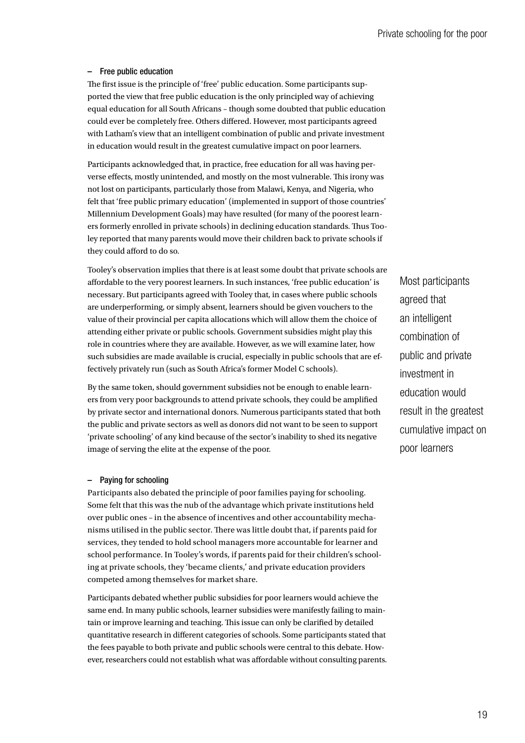#### - Free public education

The first issue is the principle of 'free' public education. Some participants supported the view that free public education is the only principled way of achieving equal education for all South Africans – though some doubted that public education could ever be completely free. Others differed. However, most participants agreed with Latham's view that an intelligent combination of public and private investment in education would result in the greatest cumulative impact on poor learners.

Participants acknowledged that, in practice, free education for all was having perverse effects, mostly unintended, and mostly on the most vulnerable. This irony was not lost on participants, particularly those from Malawi, Kenya, and Nigeria, who felt that 'free public primary education' (implemented in support of those countries' Millennium Development Goals) may have resulted (for many of the poorest learners formerly enrolled in private schools) in declining education standards. Thus Tooley reported that many parents would move their children back to private schools if they could afford to do so.

Tooley's observation implies that there is at least some doubt that private schools are affordable to the very poorest learners. In such instances, 'free public education' is necessary. But participants agreed with Tooley that, in cases where public schools are underperforming, or simply absent, learners should be given vouchers to the value of their provincial per capita allocations which will allow them the choice of attending either private or public schools. Government subsidies might play this role in countries where they are available. However, as we will examine later, how such subsidies are made available is crucial, especially in public schools that are effectively privately run (such as South Africa's former Model C schools).

By the same token, should government subsidies not be enough to enable learners from very poor backgrounds to attend private schools, they could be amplified by private sector and international donors. Numerous participants stated that both the public and private sectors as well as donors did not want to be seen to support 'private schooling' of any kind because of the sector's inability to shed its negative image of serving the elite at the expense of the poor.

### - Paying for schooling

Participants also debated the principle of poor families paying for schooling. Some felt that this was the nub of the advantage which private institutions held over public ones – in the absence of incentives and other accountability mechanisms utilised in the public sector. There was little doubt that, if parents paid for services, they tended to hold school managers more accountable for learner and school performance. In Tooley's words, if parents paid for their children's schooling at private schools, they 'became clients,' and private education providers competed among themselves for market share.

Participants debated whether public subsidies for poor learners would achieve the same end. In many public schools, learner subsidies were manifestly failing to maintain or improve learning and teaching. This issue can only be clarified by detailed quantitative research in different categories of schools. Some participants stated that the fees payable to both private and public schools were central to this debate. However, researchers could not establish what was affordable without consulting parents. Most participants agreed that an intelligent combination of public and private investment in education would result in the greatest cumulative impact on poor learners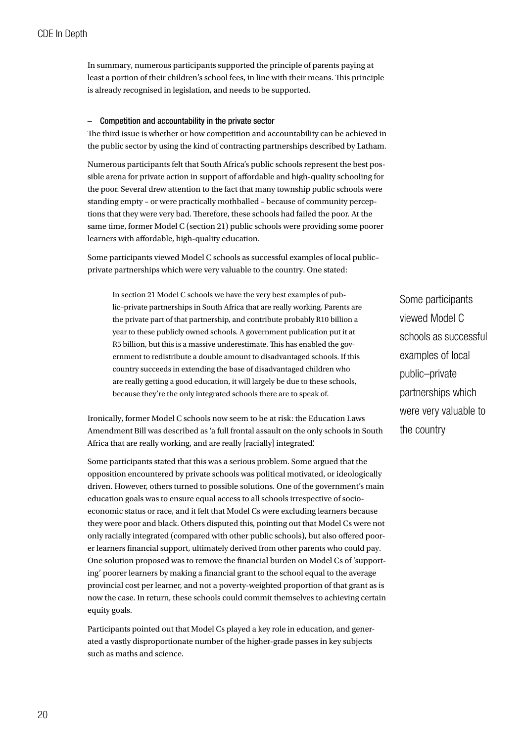In summary, numerous participants supported the principle of parents paying at least a portion of their children's school fees, in line with their means. This principle is already recognised in legislation, and needs to be supported.

### - Competition and accountability in the private sector

The third issue is whether or how competition and accountability can be achieved in the public sector by using the kind of contracting partnerships described by Latham.

Numerous participants felt that South Africa's public schools represent the best possible arena for private action in support of affordable and high-quality schooling for the poor. Several drew attention to the fact that many township public schools were standing empty – or were practically mothballed – because of community perceptions that they were very bad. Therefore, these schools had failed the poor. At the same time, former Model C (section 21) public schools were providing some poorer learners with affordable, high-quality education.

Some participants viewed Model C schools as successful examples of local public– private partnerships which were very valuable to the country. One stated:

In section 21 Model C schools we have the very best examples of public–private partnerships in South Africa that are really working. Parents are the private part of that partnership, and contribute probably R10 billion a year to these publicly owned schools. A government publication put it at R5 billion, but this is a massive underestimate. This has enabled the government to redistribute a double amount to disadvantaged schools. If this country succeeds in extending the base of disadvantaged children who are really getting a good education, it will largely be due to these schools, because they're the only integrated schools there are to speak of.

Ironically, former Model C schools now seem to be at risk: the Education Laws Amendment Bill was described as 'a full frontal assault on the only schools in South Africa that are really working, and are really [racially] integrated'.

Some participants stated that this was a serious problem. Some argued that the opposition encountered by private schools was political motivated, or ideologically driven. However, others turned to possible solutions. One of the government's main education goals was to ensure equal access to all schools irrespective of socioeconomic status or race, and it felt that Model Cs were excluding learners because they were poor and black. Others disputed this, pointing out that Model Cs were not only racially integrated (compared with other public schools), but also offered poorer learners financial support, ultimately derived from other parents who could pay. One solution proposed was to remove the financial burden on Model Cs of 'supporting' poorer learners by making a financial grant to the school equal to the average provincial cost per learner, and not a poverty-weighted proportion of that grant as is now the case. In return, these schools could commit themselves to achieving certain equity goals.

Participants pointed out that Model Cs played a key role in education, and generated a vastly disproportionate number of the higher-grade passes in key subjects such as maths and science.

Some participants viewed Model C schools as successful examples of local public–private partnerships which were very valuable to the country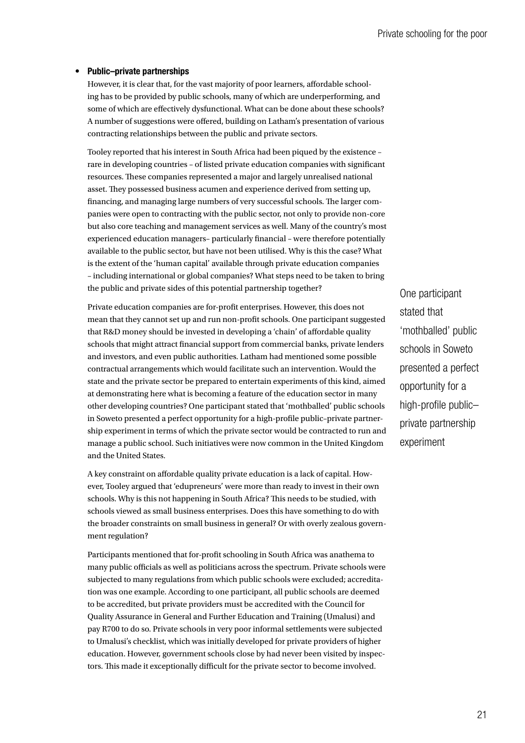#### Public–private partnerships •

However, it is clear that, for the vast majority of poor learners, affordable schooling has to be provided by public schools, many of which are underperforming, and some of which are effectively dysfunctional. What can be done about these schools? A number of suggestions were offered, building on Latham's presentation of various contracting relationships between the public and private sectors.

Tooley reported that his interest in South Africa had been piqued by the existence – rare in developing countries – of listed private education companies with significant resources. These companies represented a major and largely unrealised national asset. They possessed business acumen and experience derived from setting up, financing, and managing large numbers of very successful schools. The larger companies were open to contracting with the public sector, not only to provide non-core but also core teaching and management services as well. Many of the country's most experienced education managers– particularly financial – were therefore potentially available to the public sector, but have not been utilised. Why is this the case? What is the extent of the 'human capital' available through private education companies – including international or global companies? What steps need to be taken to bring the public and private sides of this potential partnership together?

Private education companies are for-profit enterprises. However, this does not mean that they cannot set up and run non-profit schools. One participant suggested that R&D money should be invested in developing a 'chain' of affordable quality schools that might attract financial support from commercial banks, private lenders and investors, and even public authorities. Latham had mentioned some possible contractual arrangements which would facilitate such an intervention. Would the state and the private sector be prepared to entertain experiments of this kind, aimed at demonstrating here what is becoming a feature of the education sector in many other developing countries? One participant stated that 'mothballed' public schools in Soweto presented a perfect opportunity for a high-profile public–private partnership experiment in terms of which the private sector would be contracted to run and manage a public school. Such initiatives were now common in the United Kingdom and the United States.

A key constraint on affordable quality private education is a lack of capital. However, Tooley argued that 'edupreneurs' were more than ready to invest in their own schools. Why is this not happening in South Africa? This needs to be studied, with schools viewed as small business enterprises. Does this have something to do with the broader constraints on small business in general? Or with overly zealous government regulation?

Participants mentioned that for-profit schooling in South Africa was anathema to many public officials as well as politicians across the spectrum. Private schools were subjected to many regulations from which public schools were excluded; accreditation was one example. According to one participant, all public schools are deemed to be accredited, but private providers must be accredited with the Council for Quality Assurance in General and Further Education and Training (Umalusi) and pay R700 to do so. Private schools in very poor informal settlements were subjected to Umalusi's checklist, which was initially developed for private providers of higher education. However, government schools close by had never been visited by inspectors. This made it exceptionally difficult for the private sector to become involved.

One participant stated that 'mothballed' public schools in Soweto presented a perfect opportunity for a high-profile public– private partnership experiment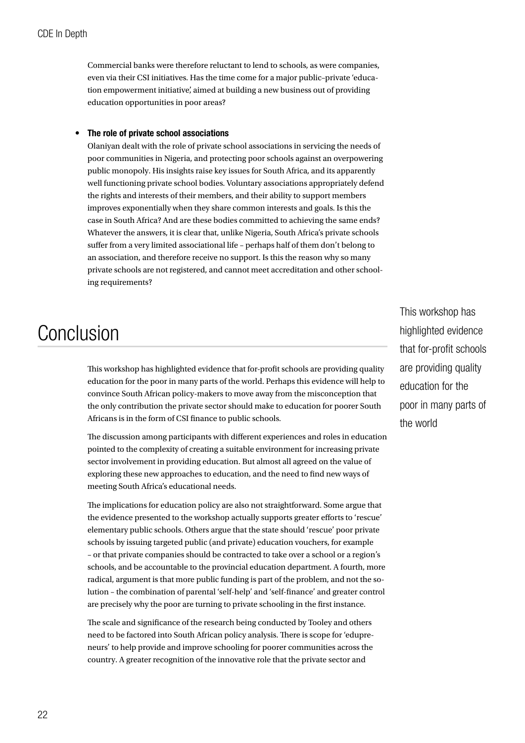<span id="page-23-0"></span>Commercial banks were therefore reluctant to lend to schools, as were companies, even via their CSI initiatives. Has the time come for a major public–private 'education empowerment initiative', aimed at building a new business out of providing education opportunities in poor areas?

#### The role of private school associations •

Olaniyan dealt with the role of private school associations in servicing the needs of poor communities in Nigeria, and protecting poor schools against an overpowering public monopoly. His insights raise key issues for South Africa, and its apparently well functioning private school bodies. Voluntary associations appropriately defend the rights and interests of their members, and their ability to support members improves exponentially when they share common interests and goals. Is this the case in South Africa? And are these bodies committed to achieving the same ends? Whatever the answers, it is clear that, unlike Nigeria, South Africa's private schools suffer from a very limited associational life – perhaps half of them don't belong to an association, and therefore receive no support. Is this the reason why so many private schools are not registered, and cannot meet accreditation and other schooling requirements?

# Conclusion

This workshop has highlighted evidence that for-profit schools are providing quality education for the poor in many parts of the world. Perhaps this evidence will help to convince South African policy-makers to move away from the misconception that the only contribution the private sector should make to education for poorer South Africans is in the form of CSI finance to public schools.

The discussion among participants with different experiences and roles in education pointed to the complexity of creating a suitable environment for increasing private sector involvement in providing education. But almost all agreed on the value of exploring these new approaches to education, and the need to find new ways of meeting South Africa's educational needs.

The implications for education policy are also not straightforward. Some argue that the evidence presented to the workshop actually supports greater efforts to 'rescue' elementary public schools. Others argue that the state should 'rescue' poor private schools by issuing targeted public (and private) education vouchers, for example – or that private companies should be contracted to take over a school or a region's schools, and be accountable to the provincial education department. A fourth, more radical, argument is that more public funding is part of the problem, and not the solution – the combination of parental 'self-help' and 'self-finance' and greater control are precisely why the poor are turning to private schooling in the first instance.

The scale and significance of the research being conducted by Tooley and others need to be factored into South African policy analysis. There is scope for 'edupreneurs' to help provide and improve schooling for poorer communities across the country. A greater recognition of the innovative role that the private sector and

This workshop has highlighted evidence that for-profit schools are providing quality education for the poor in many parts of the world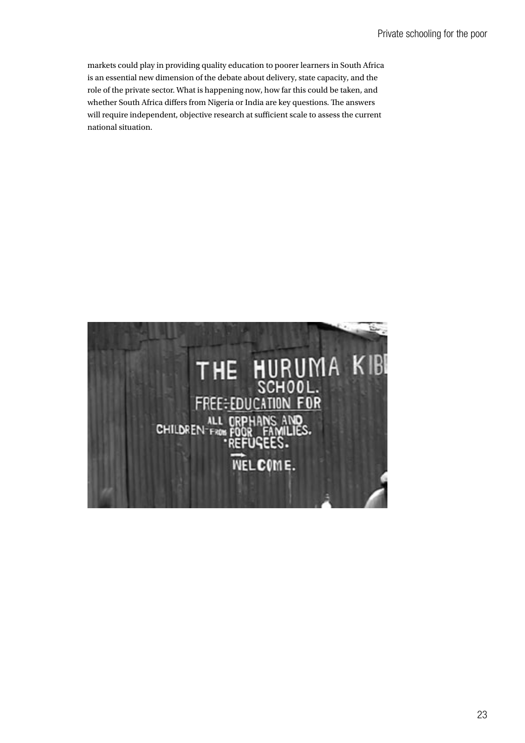markets could play in providing quality education to poorer learners in South Africa is an essential new dimension of the debate about delivery, state capacity, and the role of the private sector. What is happening now, how far this could be taken, and whether South Africa differs from Nigeria or India are key questions. The answers will require independent, objective research at sufficient scale to assess the current national situation.

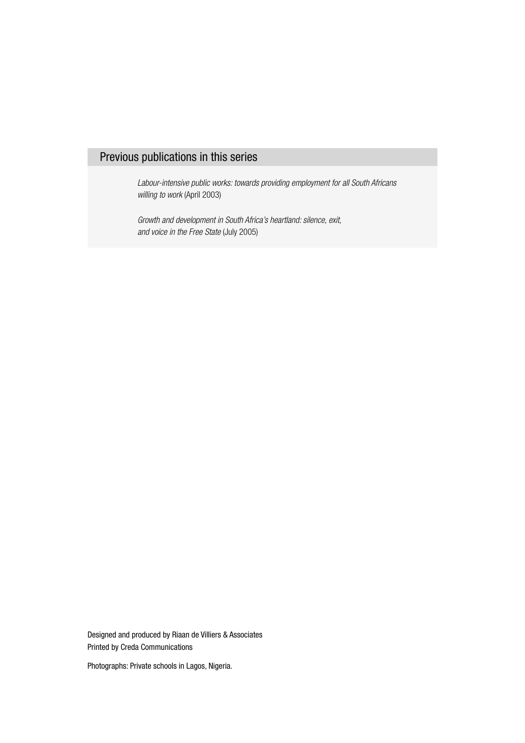# Previous publications in this series

Labour-intensive public works: towards providing employment for all South Africans willing to work (April 2003)

Growth and development in South Africa's heartland: silence, exit, and voice in the Free State (July 2005)

Designed and produced by Riaan de Villiers & Associates Printed by Creda Communications

Photographs: Private schools in Lagos, Nigeria.